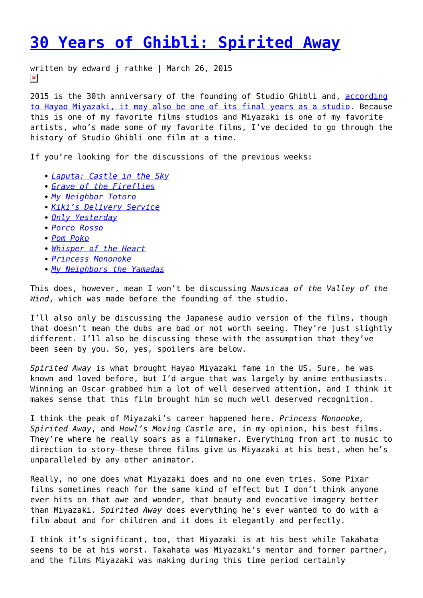## **[30 Years of Ghibli: Spirited Away](https://entropymag.org/30-years-of-ghibli-spirited-away/)**

written by edward j rathke | March 26, 2015  $\pmb{\times}$ 

2015 is the 30th anniversary of the founding of Studio Ghibli and, [according](http://www.empireonline.com/news/story.asp?NID=42719) [to Hayao Miyazaki, it may also be one of its final years as a studio.](http://www.empireonline.com/news/story.asp?NID=42719) Because this is one of my favorite films studios and Miyazaki is one of my favorite artists, who's made some of my favorite films, I've decided to go through the history of Studio Ghibli one film at a time.

If you're looking for the discussions of the previous weeks:

- *[Laputa: Castle in the Sky](https://entropymag.org/30-years-of-ghibli-laputa-castle-in-the-sky/)*
- *[Grave of the Fireflies](https://entropymag.org/30-years-of-ghibli-grave-of-the-fireflies/)*
- *[My Neighbor Totoro](https://entropymag.org/30-years-of-ghibli-my-neighbor-totoro/)*
- *[Kiki's Delivery Service](https://entropymag.org/30-years-of-ghibli-kikis-delivery-service/)*
- *[Only Yesterday](https://entropymag.org/30-years-of-ghibli-only-yesterday/)*
- *[Porco Rosso](https://entropymag.org/30-years-of-ghibli-porco-rosso/)*
- *[Pom Poko](https://entropymag.org/30-years-of-ghibli-pom-poko/)*
- *[Whisper of the Heart](https://entropymag.org/30-years-of-ghibli-whisper-of-the-heart/)*
- *[Princess Mononoke](https://entropymag.org/30-years-of-ghibli-princess-mononoke/)*
- *[My Neighbors the Yamadas](https://entropymag.org/30-years-of-ghibli-my-neighbors-the-yamadas/)*

This does, however, mean I won't be discussing *Nausicaa of the Valley of the Wind*, which was made before the founding of the studio.

I'll also only be discussing the Japanese audio version of the films, though that doesn't mean the dubs are bad or not worth seeing. They're just slightly different. I'll also be discussing these with the assumption that they've been seen by you. So, yes, spoilers are below.

*Spirited Away* is what brought Hayao Miyazaki fame in the US. Sure, he was known and loved before, but I'd argue that was largely by anime enthusiasts. Winning an Oscar grabbed him a lot of well deserved attention, and I think it makes sense that this film brought him so much well deserved recognition.

I think the peak of Miyazaki's career happened here. *Princess Mononoke, Spirited Away*, and *Howl's Moving Castle* are, in my opinion, his best films. They're where he really soars as a filmmaker. Everything from art to music to direction to story–these three films give us Miyazaki at his best, when he's unparalleled by any other animator.

Really, no one does what Miyazaki does and no one even tries. Some Pixar films sometimes reach for the same kind of effect but I don't think anyone ever hits on that awe and wonder, that beauty and evocative imagery better than Miyazaki. *Spirited Away* does everything he's ever wanted to do with a film about and for children and it does it elegantly and perfectly.

I think it's significant, too, that Miyazaki is at his best while Takahata seems to be at his worst. Takahata was Miyazaki's mentor and former partner, and the films Miyazaki was making during this time period certainly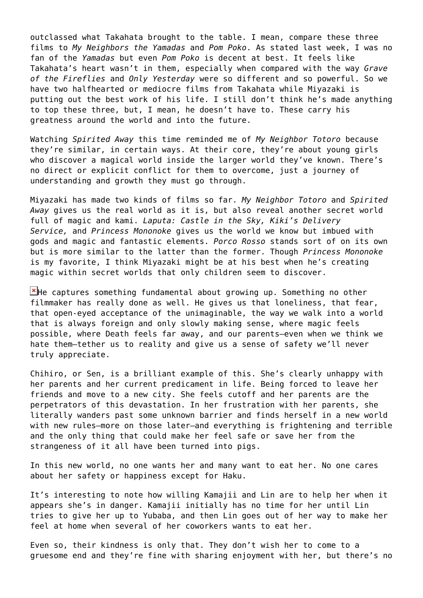outclassed what Takahata brought to the table. I mean, compare these three films to *My Neighbors the Yamadas* and *Pom Poko*. As stated last week, I was no fan of the *Yamadas* but even *Pom Poko* is decent at best. It feels like Takahata's heart wasn't in them, especially when compared with the way *Grave of the Fireflies* and *Only Yesterday* were so different and so powerful. So we have two halfhearted or mediocre films from Takahata while Miyazaki is putting out the best work of his life. I still don't think he's made anything to top these three, but, I mean, he doesn't have to. These carry his greatness around the world and into the future.

Watching *Spirited Away* this time reminded me of *My Neighbor Totoro* because they're similar, in certain ways. At their core, they're about young girls who discover a magical world inside the larger world they've known. There's no direct or explicit conflict for them to overcome, just a journey of understanding and growth they must go through.

Miyazaki has made two kinds of films so far. *My Neighbor Totoro* and *Spirited Away* gives us the real world as it is, but also reveal another secret world full of magic and kami. *Laputa: Castle in the Sky, Kiki's Delivery Service,* and *Princess Mononoke* gives us the world we know but imbued with gods and magic and fantastic elements. *Porco Rosso* stands sort of on its own but is more similar to the latter than the former. Though *Princess Mononoke* is my favorite, I think Miyazaki might be at his best when he's creating magic within secret worlds that only children seem to discover.

 $\mathbf{F}$ He captures something fundamental about growing up. Something no other filmmaker has really done as well. He gives us that loneliness, that fear, that open-eyed acceptance of the unimaginable, the way we walk into a world that is always foreign and only slowly making sense, where magic feels possible, where Death feels far away, and our parents–even when we think we hate them–tether us to reality and give us a sense of safety we'll never truly appreciate.

Chihiro, or Sen, is a brilliant example of this. She's clearly unhappy with her parents and her current predicament in life. Being forced to leave her friends and move to a new city. She feels cutoff and her parents are the perpetrators of this devastation. In her frustration with her parents, she literally wanders past some unknown barrier and finds herself in a new world with new rules–more on those later–and everything is frightening and terrible and the only thing that could make her feel safe or save her from the strangeness of it all have been turned into pigs.

In this new world, no one wants her and many want to eat her. No one cares about her safety or happiness except for Haku.

It's interesting to note how willing Kamajii and Lin are to help her when it appears she's in danger. Kamajii initially has no time for her until Lin tries to give her up to Yubaba, and then Lin goes out of her way to make her feel at home when several of her coworkers wants to eat her.

Even so, their kindness is only that. They don't wish her to come to a gruesome end and they're fine with sharing enjoyment with her, but there's no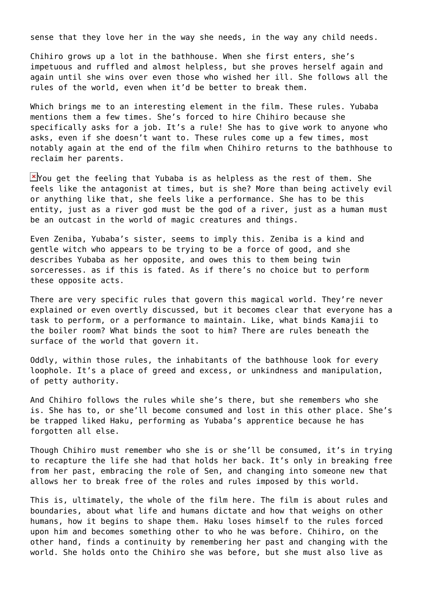sense that they love her in the way she needs, in the way any child needs.

Chihiro grows up a lot in the bathhouse. When she first enters, she's impetuous and ruffled and almost helpless, but she proves herself again and again until she wins over even those who wished her ill. She follows all the rules of the world, even when it'd be better to break them.

Which brings me to an interesting element in the film. These rules. Yubaba mentions them a few times. She's forced to hire Chihiro because she specifically asks for a job. It's a rule! She has to give work to anyone who asks, even if she doesn't want to. These rules come up a few times, most notably again at the end of the film when Chihiro returns to the bathhouse to reclaim her parents.

 $X$  You get the feeling that Yubaba is as helpless as the rest of them. She feels like the antagonist at times, but is she? More than being actively evil or anything like that, she feels like a performance. She has to be this entity, just as a river god must be the god of a river, just as a human must be an outcast in the world of magic creatures and things.

Even Zeniba, Yubaba's sister, seems to imply this. Zeniba is a kind and gentle witch who appears to be trying to be a force of good, and she describes Yubaba as her opposite, and owes this to them being twin sorceresses. as if this is fated. As if there's no choice but to perform these opposite acts.

There are very specific rules that govern this magical world. They're never explained or even overtly discussed, but it becomes clear that everyone has a task to perform, or a performance to maintain. Like, what binds Kamajii to the boiler room? What binds the soot to him? There are rules beneath the surface of the world that govern it.

Oddly, within those rules, the inhabitants of the bathhouse look for every loophole. It's a place of greed and excess, or unkindness and manipulation, of petty authority.

And Chihiro follows the rules while she's there, but she remembers who she is. She has to, or she'll become consumed and lost in this other place. She's be trapped liked Haku, performing as Yubaba's apprentice because he has forgotten all else.

Though Chihiro must remember who she is or she'll be consumed, it's in trying to recapture the life she had that holds her back. It's only in breaking free from her past, embracing the role of Sen, and changing into someone new that allows her to break free of the roles and rules imposed by this world.

This is, ultimately, the whole of the film here. The film is about rules and boundaries, about what life and humans dictate and how that weighs on other humans, how it begins to shape them. Haku loses himself to the rules forced upon him and becomes something other to who he was before. Chihiro, on the other hand, finds a continuity by remembering her past and changing with the world. She holds onto the Chihiro she was before, but she must also live as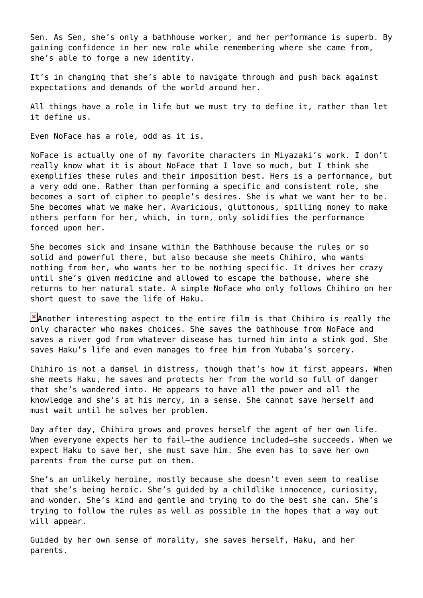Sen. As Sen, she's only a bathhouse worker, and her performance is superb. By gaining confidence in her new role while remembering where she came from, she's able to forge a new identity.

It's in changing that she's able to navigate through and push back against expectations and demands of the world around her.

All things have a role in life but we must try to define it, rather than let it define us.

Even NoFace has a role, odd as it is.

NoFace is actually one of my favorite characters in Miyazaki's work. I don't really know what it is about NoFace that I love so much, but I think she exemplifies these rules and their imposition best. Hers is a performance, but a very odd one. Rather than performing a specific and consistent role, she becomes a sort of cipher to people's desires. She is what we want her to be. She becomes what we make her. Avaricious, gluttonous, spilling money to make others perform for her, which, in turn, only solidifies the performance forced upon her.

She becomes sick and insane within the Bathhouse because the rules or so solid and powerful there, but also because she meets Chihiro, who wants nothing from her, who wants her to be nothing specific. It drives her crazy until she's given medicine and allowed to escape the bathouse, where she returns to her natural state. A simple NoFace who only follows Chihiro on her short quest to save the life of Haku.

 $\blacktriangleright$ Another interesting aspect to the entire film is that Chihiro is really the only character who makes choices. She saves the bathhouse from NoFace and saves a river god from whatever disease has turned him into a stink god. She saves Haku's life and even manages to free him from Yubaba's sorcery.

Chihiro is not a damsel in distress, though that's how it first appears. When she meets Haku, he saves and protects her from the world so full of danger that she's wandered into. He appears to have all the power and all the knowledge and she's at his mercy, in a sense. She cannot save herself and must wait until he solves her problem.

Day after day, Chihiro grows and proves herself the agent of her own life. When everyone expects her to fail–the audience included–she succeeds. When we expect Haku to save her, she must save him. She even has to save her own parents from the curse put on them.

She's an unlikely heroine, mostly because she doesn't even seem to realise that she's being heroic. She's guided by a childlike innocence, curiosity, and wonder. She's kind and gentle and trying to do the best she can. She's trying to follow the rules as well as possible in the hopes that a way out will appear.

Guided by her own sense of morality, she saves herself, Haku, and her parents.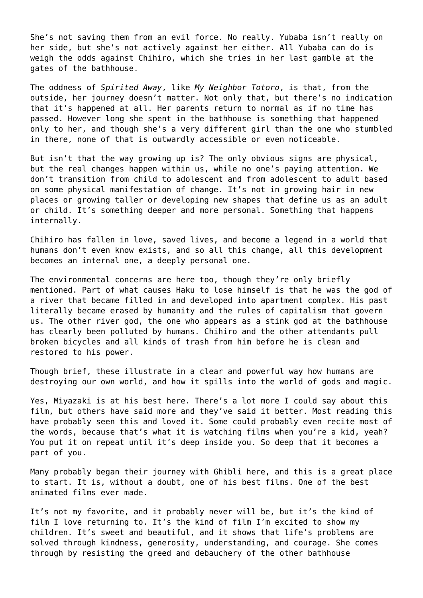She's not saving them from an evil force. No really. Yubaba isn't really on her side, but she's not actively against her either. All Yubaba can do is weigh the odds against Chihiro, which she tries in her last gamble at the gates of the bathhouse.

The oddness of *Spirited Away*, like *My Neighbor Totoro*, is that, from the outside, her journey doesn't matter. Not only that, but there's no indication that it's happened at all. Her parents return to normal as if no time has passed. However long she spent in the bathhouse is something that happened only to her, and though she's a very different girl than the one who stumbled in there, none of that is outwardly accessible or even noticeable.

But isn't that the way growing up is? The only obvious signs are physical, but the real changes happen within us, while no one's paying attention. We don't transition from child to adolescent and from adolescent to adult based on some physical manifestation of change. It's not in growing hair in new places or growing taller or developing new shapes that define us as an adult or child. It's something deeper and more personal. Something that happens internally.

Chihiro has fallen in love, saved lives, and become a legend in a world that humans don't even know exists, and so all this change, all this development becomes an internal one, a deeply personal one.

The environmental concerns are here too, though they're only briefly mentioned. Part of what causes Haku to lose himself is that he was the god of a river that became filled in and developed into apartment complex. His past literally became erased by humanity and the rules of capitalism that govern us. The other river god, the one who appears as a stink god at the bathhouse has clearly been polluted by humans. Chihiro and the other attendants pull broken bicycles and all kinds of trash from him before he is clean and restored to his power.

Though brief, these illustrate in a clear and powerful way how humans are destroying our own world, and how it spills into the world of gods and magic.

Yes, Miyazaki is at his best here. There's a lot more I could say about this film, but others have said more and they've said it better. Most reading this have probably seen this and loved it. Some could probably even recite most of the words, because that's what it is watching films when you're a kid, yeah? You put it on repeat until it's deep inside you. So deep that it becomes a part of you.

Many probably began their journey with Ghibli here, and this is a great place to start. It is, without a doubt, one of his best films. One of the best animated films ever made.

It's not my favorite, and it probably never will be, but it's the kind of film I love returning to. It's the kind of film I'm excited to show my children. It's sweet and beautiful, and it shows that life's problems are solved through kindness, generosity, understanding, and courage. She comes through by resisting the greed and debauchery of the other bathhouse